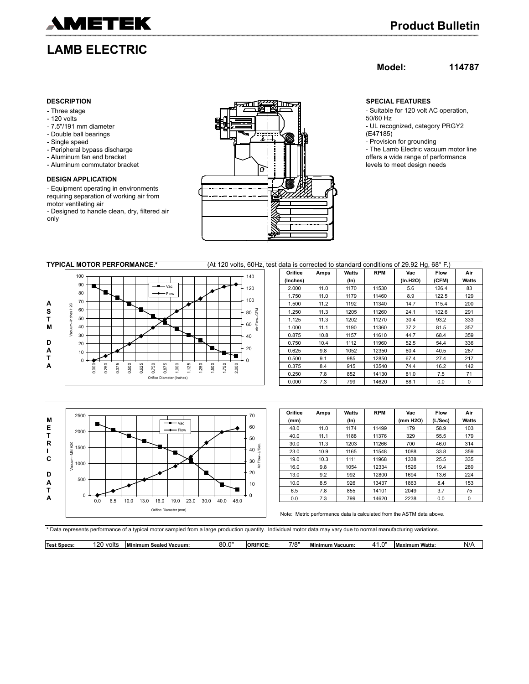

# **LAMB ELECTRIC**

## **Model: 114787**

- Three stage
- 120 volts
- 7.5"/191 mm diameter
- Double ball bearings
- Single speed
- Peripheral bypass discharge
- Aluminum fan end bracket
- Aluminum commutator bracket

### **DESIGN APPLICATION**

- Equipment operating in environments requiring separation of working air from motor ventilating air

- Designed to handle clean, dry, filtered air only



- Suitable for 120 volt AC operation, 50/60 Hz - UL recognized, category PRGY2
- (E47185)
- Provision for grounding
- The Lamb Electric vacuum motor line offers a wide range of performance levels to meet design needs

|   | <b>TYPICAL MOTOR PERFORMANCE.*</b> |       |     |     |     |              |     |                                |     |     | (At 120 volts, 60Hz, test data is corrected to standard conditions of 29.92 Hq, 68°F.) |       |       |       |     |     |  |          |      |         |            |          |             |             |
|---|------------------------------------|-------|-----|-----|-----|--------------|-----|--------------------------------|-----|-----|----------------------------------------------------------------------------------------|-------|-------|-------|-----|-----|--|----------|------|---------|------------|----------|-------------|-------------|
|   | 100                                |       |     |     |     |              |     |                                |     |     |                                                                                        |       |       |       | 140 |     |  | Orifice  | Amps | Watts   | <b>RPM</b> | Vac      | <b>Flow</b> | Air         |
|   |                                    |       |     |     |     |              |     |                                |     |     |                                                                                        |       |       |       |     |     |  | (Inches) |      | $(\ln)$ |            | (In.H2O) | (CFM)       | Watts       |
|   | 90                                 |       |     |     |     |              |     | $  \vee$ <sub>ac</sub>         |     |     |                                                                                        |       |       |       | 120 |     |  | 2.000    | 11.0 | 1170    | 11530      | 5.6      | 126.4       | 83          |
|   | 80                                 |       |     |     |     |              |     | $\longrightarrow$ Flow         |     |     |                                                                                        |       |       |       | 100 |     |  | 1.750    | 11.0 | 1179    | 11460      | 8.9      | 122.5       | 129         |
| A | 70<br>H <sub>2</sub> O             |       |     |     |     |              |     |                                |     |     |                                                                                        |       |       |       |     |     |  | 1.500    | 11.2 | 1192    | 11340      | 14.7     | 115.4       | 200         |
| s | 60                                 |       |     |     |     |              |     |                                |     |     |                                                                                        |       |       |       | 80  | M∃C |  | 1.250    | 11.3 | 1205    | 11260      | 24.1     | 102.6       | 291         |
|   | -Inches<br>50                      |       |     |     |     |              |     |                                |     |     |                                                                                        |       |       |       |     | 운   |  | 1.125    | 11.3 | 1202    | 11270      | 30.4     | 93.2        | 333         |
| м | Vacuum-<br>40                      |       |     |     |     |              |     |                                |     |     |                                                                                        |       |       |       | 60  |     |  | 1.000    | 11.1 | 1190    | 11360      | 37.2     | 81.5        | 357         |
|   | 30                                 |       |     |     |     |              |     |                                |     |     |                                                                                        |       |       |       | 40  |     |  | 0.875    | 10.8 | 1157    | 11610      | 44.7     | 68.4        | 359         |
| D | 20                                 |       |     |     |     |              |     |                                |     |     |                                                                                        |       |       |       |     |     |  | 0.750    | 10.4 | 1112    | 11960      | 52.5     | 54.4        | 336         |
| A | 10                                 |       |     |     |     |              |     |                                |     |     |                                                                                        |       |       |       | 20  |     |  | 0.625    | 9.8  | 1052    | 12350      | 60.4     | 40.5        | 287         |
|   |                                    | $0 +$ |     |     |     |              |     |                                |     |     |                                                                                        |       |       |       |     |     |  | 0.500    | 9.1  | 985     | 12850      | 67.4     | 27.4        | 217         |
| A |                                    | 0.000 | 250 | 375 | 500 | 625          | 750 | 875                            | 000 | 125 | 250                                                                                    | 1,500 | 1.750 | 2.000 |     |     |  | 0.375    | 8.4  | 915     | 13540      | 74.4     | 16.2        | 142         |
|   |                                    |       | ä   | ö   | d   | $\mathbf{a}$ | ó   | ó<br>Orifice Diameter (Inches) |     |     |                                                                                        |       |       |       |     |     |  | 0.250    | 7.8  | 852     | 14130      | 81.0     | 7.5         | 71          |
|   |                                    |       |     |     |     |              |     |                                |     |     |                                                                                        |       |       |       |     |     |  | 0.000    | 7.3  | 799     | 14620      | 88.1     | 0.0         | $\mathbf 0$ |
|   |                                    |       |     |     |     |              |     |                                |     |     |                                                                                        |       |       |       |     |     |  |          |      |         |            |          |             |             |



| Orifice | Amps | <b>Watts</b> | <b>RPM</b> | Vac      | <b>Flow</b> | Air   |
|---------|------|--------------|------------|----------|-------------|-------|
| (mm)    |      | $(\ln)$      |            | (mm H2O) | (L/Sec)     | Watts |
| 48.0    | 11.0 | 1174         | 11499      | 179      | 58.9        | 103   |
| 40.0    | 11.1 | 1188         | 11376      | 329      | 55.5        | 179   |
| 30.0    | 11.3 | 1203         | 11266      | 700      | 46.0        | 314   |
| 23.0    | 10.9 | 1165         | 11548      | 1088     | 33.8        | 359   |
| 19.0    | 10.3 | 1111         | 11968      | 1338     | 25.5        | 335   |
| 16.0    | 9.8  | 1054         | 12334      | 1526     | 19.4        | 289   |
| 13.0    | 9.2  | 992          | 12800      | 1694     | 13.6        | 224   |
| 10.0    | 8.5  | 926          | 13437      | 1863     | 8.4         | 153   |
| 6.5     | 7.8  | 855          | 14101      | 2049     | 3.7         | 75    |
| 0.0     | 7.3  | 799          | 14620      | 2238     | 0.0         | 0     |

Note: Metric performance data is calculated from the ASTM data above.

\* Data represents performance of a typical motor sampled from a large production quantity. Individual motor data may vary due to normal manufacturing variations.

| Test<br><b>Snock</b><br>-50865 | 120<br>. .<br>volts | <b>Minimum</b><br>' Vacuum:<br>ı Sealed | $\sim$<br>o٢<br>OU.J | <b>ORIFICE</b> | 7/8" | $1 - 7$<br>Vacuum:<br>l Minimum | $\mathbf{L}$ | Watts.<br><b>Maximum</b> | NI/<br>I 477 |
|--------------------------------|---------------------|-----------------------------------------|----------------------|----------------|------|---------------------------------|--------------|--------------------------|--------------|